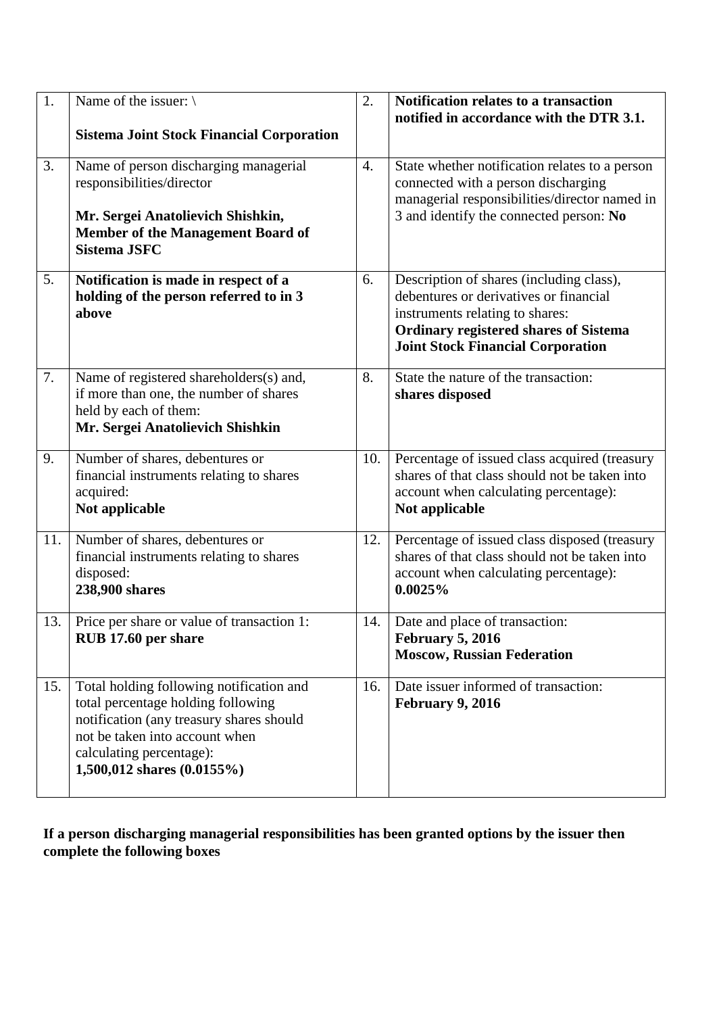| 1.  | Name of the issuer: $\setminus$<br><b>Sistema Joint Stock Financial Corporation</b>                                                                                                                                    | 2.  | Notification relates to a transaction<br>notified in accordance with the DTR 3.1.                                                                                                                                 |
|-----|------------------------------------------------------------------------------------------------------------------------------------------------------------------------------------------------------------------------|-----|-------------------------------------------------------------------------------------------------------------------------------------------------------------------------------------------------------------------|
| 3.  | Name of person discharging managerial<br>responsibilities/director<br>Mr. Sergei Anatolievich Shishkin,<br><b>Member of the Management Board of</b><br><b>Sistema JSFC</b>                                             | 4.  | State whether notification relates to a person<br>connected with a person discharging<br>managerial responsibilities/director named in<br>3 and identify the connected person: No                                 |
| 5.  | Notification is made in respect of a<br>holding of the person referred to in 3<br>above                                                                                                                                | 6.  | Description of shares (including class),<br>debentures or derivatives or financial<br>instruments relating to shares:<br><b>Ordinary registered shares of Sistema</b><br><b>Joint Stock Financial Corporation</b> |
| 7.  | Name of registered shareholders(s) and,<br>if more than one, the number of shares<br>held by each of them:<br>Mr. Sergei Anatolievich Shishkin                                                                         | 8.  | State the nature of the transaction:<br>shares disposed                                                                                                                                                           |
| 9.  | Number of shares, debentures or<br>financial instruments relating to shares<br>acquired:<br>Not applicable                                                                                                             | 10. | Percentage of issued class acquired (treasury<br>shares of that class should not be taken into<br>account when calculating percentage):<br>Not applicable                                                         |
| 11. | Number of shares, debentures or<br>financial instruments relating to shares<br>disposed:<br>238,900 shares                                                                                                             | 12. | Percentage of issued class disposed (treasury<br>shares of that class should not be taken into<br>account when calculating percentage):<br>0.0025%                                                                |
| 13. | Price per share or value of transaction 1:<br>RUB 17.60 per share                                                                                                                                                      | 14. | Date and place of transaction:<br><b>February 5, 2016</b><br><b>Moscow, Russian Federation</b>                                                                                                                    |
| 15. | Total holding following notification and<br>total percentage holding following<br>notification (any treasury shares should<br>not be taken into account when<br>calculating percentage):<br>1,500,012 shares (0.0155%) | 16. | Date issuer informed of transaction:<br><b>February 9, 2016</b>                                                                                                                                                   |

**If a person discharging managerial responsibilities has been granted options by the issuer then complete the following boxes**